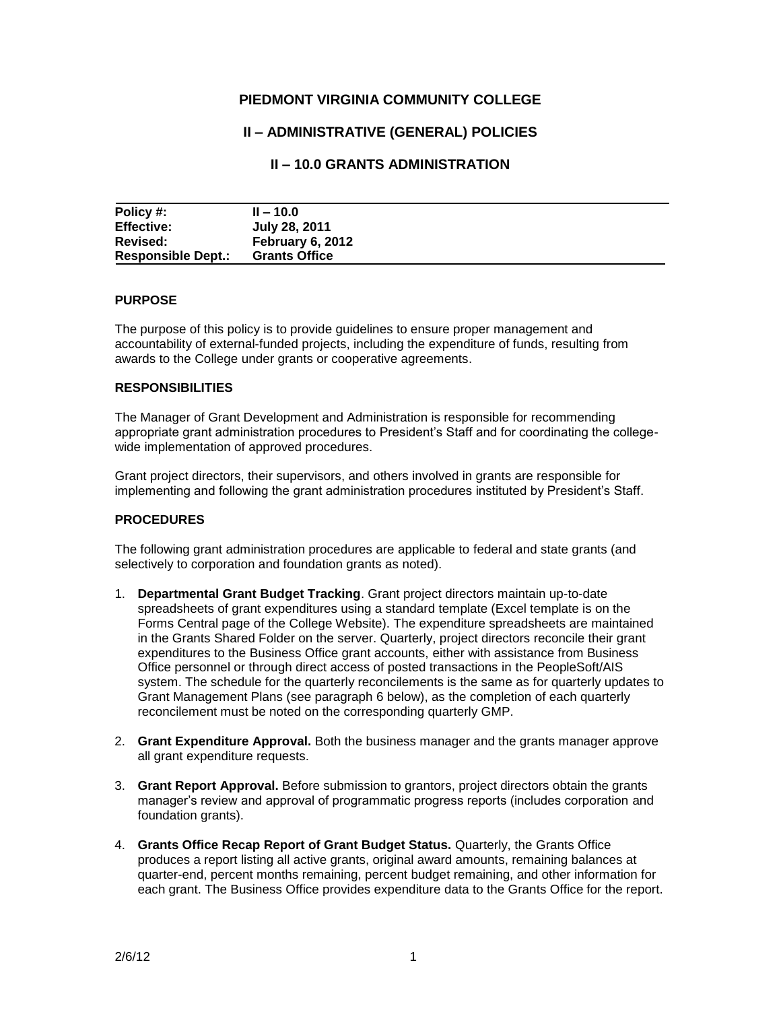# **PIEDMONT VIRGINIA COMMUNITY COLLEGE**

# **II – ADMINISTRATIVE (GENERAL) POLICIES**

# **II – 10.0 GRANTS ADMINISTRATION**

| Policy #:                 | $II - 10.0$          |  |
|---------------------------|----------------------|--|
| <b>Effective:</b>         | July 28, 2011        |  |
| Revised:                  | February 6, 2012     |  |
| <b>Responsible Dept.:</b> | <b>Grants Office</b> |  |

#### **PURPOSE**

The purpose of this policy is to provide guidelines to ensure proper management and accountability of external-funded projects, including the expenditure of funds, resulting from awards to the College under grants or cooperative agreements.

#### **RESPONSIBILITIES**

The Manager of Grant Development and Administration is responsible for recommending appropriate grant administration procedures to President's Staff and for coordinating the collegewide implementation of approved procedures.

Grant project directors, their supervisors, and others involved in grants are responsible for implementing and following the grant administration procedures instituted by President's Staff.

### **PROCEDURES**

The following grant administration procedures are applicable to federal and state grants (and selectively to corporation and foundation grants as noted).

- 1. **Departmental Grant Budget Tracking**. Grant project directors maintain up-to-date spreadsheets of grant expenditures using a standard template (Excel template is on the Forms Central page of the College Website). The expenditure spreadsheets are maintained in the Grants Shared Folder on the server. Quarterly, project directors reconcile their grant expenditures to the Business Office grant accounts, either with assistance from Business Office personnel or through direct access of posted transactions in the PeopleSoft/AIS system. The schedule for the quarterly reconcilements is the same as for quarterly updates to Grant Management Plans (see paragraph 6 below), as the completion of each quarterly reconcilement must be noted on the corresponding quarterly GMP.
- 2. **Grant Expenditure Approval.** Both the business manager and the grants manager approve all grant expenditure requests.
- 3. **Grant Report Approval.** Before submission to grantors, project directors obtain the grants manager's review and approval of programmatic progress reports (includes corporation and foundation grants).
- 4. **Grants Office Recap Report of Grant Budget Status.** Quarterly, the Grants Office produces a report listing all active grants, original award amounts, remaining balances at quarter-end, percent months remaining, percent budget remaining, and other information for each grant. The Business Office provides expenditure data to the Grants Office for the report.